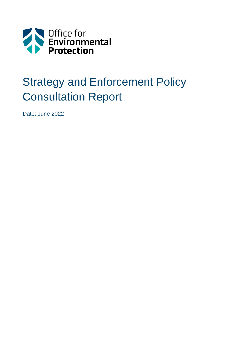

# Strategy and Enforcement Policy Consultation Report

Date: June 2022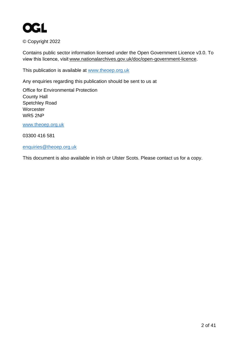

© Copyright 2022

Contains public sector information licensed under the Open Government Licence v3.0. To view this licence, visit[www.nationalarchives.gov.uk/doc/open-government-licence.](https://www.nationalarchives.gov.uk/doc/open-government-licence)

This publication is available at [www.theoep.org.uk](http://www.theoep.org.uk/)

Any enquiries regarding this publication should be sent to us at

Office for Environmental Protection County Hall Spetchley Road **Worcester** WR5 2NP

[www.theoep.org.uk](http://www.theoep.org.uk/)

03300 416 581

[enquiries@theoep.org.uk](mailto:enquiries@theoep.org.uk)

This document is also available in Irish or Ulster Scots. Please contact us for a copy.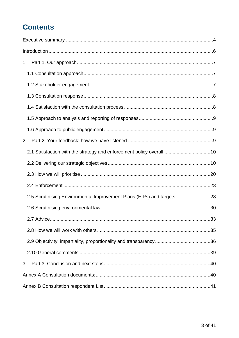## **Contents**

| 1.                                                                     |  |
|------------------------------------------------------------------------|--|
|                                                                        |  |
|                                                                        |  |
|                                                                        |  |
|                                                                        |  |
|                                                                        |  |
|                                                                        |  |
| 2.                                                                     |  |
| 2.1 Satisfaction with the strategy and enforcement policy overall 10   |  |
|                                                                        |  |
|                                                                        |  |
|                                                                        |  |
| 2.5 Scrutinising Environmental Improvement Plans (EIPs) and targets 28 |  |
|                                                                        |  |
|                                                                        |  |
|                                                                        |  |
|                                                                        |  |
|                                                                        |  |
| 3.                                                                     |  |
|                                                                        |  |
|                                                                        |  |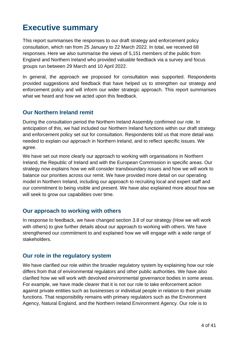## <span id="page-3-0"></span>**Executive summary**

This report summarises the responses to our draft strategy and enforcement policy consultation, which ran from 25 January to 22 March 2022. In total, we received 68 responses. Here we also summarise the views of 5,151 members of the public from England and Northern Ireland who provided valuable feedback via a survey and focus groups run between 29 March and 10 April 2022.

In general, the approach we proposed for consultation was supported. Respondents provided suggestions and feedback that have helped us to strengthen our strategy and enforcement policy and will inform our wider strategic approach. This report summarises what we heard and how we acted upon this feedback.

## **Our Northern Ireland remit**

During the consultation period the Northern Ireland Assembly confirmed our role. In anticipation of this, we had included our Northern Ireland functions within our draft strategy and enforcement policy set out for consultation. Respondents told us that more detail was needed to explain our approach in Northern Ireland, and to reflect specific issues. We agree.

We have set out more clearly our approach to working with organisations in Northern Ireland, the Republic of Ireland and with the European Commission in specific areas. Our strategy now explains how we will consider transboundary issues and how we will work to balance our priorities across our remit. We have provided more detail on our operating model in Northern Ireland, including our approach to recruiting local and expert staff and our commitment to being visible and present. We have also explained more about how we will seek to grow our capabilities over time.

## **Our approach to working with others**

In response to feedback, we have changed section 3.8 of our strategy (How we will work with others) to give further details about our approach to working with others. We have strengthened our commitment to and explained how we will engage with a wide range of stakeholders.

## **Our role in the regulatory system**

We have clarified our role within the broader regulatory system by explaining how our role differs from that of environmental regulators and other public authorities. We have also clarified how we will work with devolved environmental governance bodies in some areas. For example, we have made clearer that it is not our role to take enforcement action against private entities such as businesses or individual people in relation to their private functions. That responsibility remains with primary regulators such as the Environment Agency, Natural England, and the Northern Ireland Environment Agency. Our role is to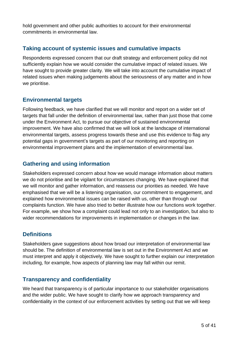hold government and other public authorities to account for their environmental commitments in environmental law.

## **Taking account of systemic issues and cumulative impacts**

Respondents expressed concern that our draft strategy and enforcement policy did not sufficiently explain how we would consider the cumulative impact of related issues. We have sought to provide greater clarity. We will take into account the cumulative impact of related issues when making judgements about the seriousness of any matter and in how we prioritise.

## **Environmental targets**

Following feedback, we have clarified that we will monitor and report on a wider set of targets that fall under the definition of environmental law, rather than just those that come under the Environment Act, to pursue our objective of sustained environmental improvement. We have also confirmed that we will look at the landscape of international environmental targets, assess progress towards these and use this evidence to flag any potential gaps in government's targets as part of our monitoring and reporting on environmental improvement plans and the implementation of environmental law.

## **Gathering and using information**

Stakeholders expressed concern about how we would manage information about matters we do not prioritise and be vigilant for circumstances changing. We have explained that we will monitor and gather information, and reassess our priorities as needed. We have emphasised that we will be a listening organisation, our commitment to engagement, and explained how environmental issues can be raised with us, other than through our complaints function. We have also tried to better illustrate how our functions work together. For example, we show how a complaint could lead not only to an investigation, but also to wider recommendations for improvements in implementation or changes in the law.

## **Definitions**

Stakeholders gave suggestions about how broad our interpretation of environmental law should be. The definition of environmental law is set out in the Environment Act and we must interpret and apply it objectively. We have sought to further explain our interpretation including, for example, how aspects of planning law may fall within our remit.

## **Transparency and confidentiality**

We heard that transparency is of particular importance to our stakeholder organisations and the wider public. We have sought to clarify how we approach transparency and confidentiality in the context of our enforcement activities by setting out that we will keep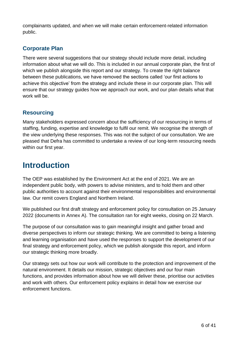complainants updated, and when we will make certain enforcement-related information public.

## **Corporate Plan**

There were several suggestions that our strategy should include more detail, including information about what we will do. This is included in our annual corporate plan, the first of which we publish alongside this report and our strategy. To create the right balance between these publications, we have removed the sections called 'our first actions to achieve this objective' from the strategy and include these in our corporate plan. This will ensure that our strategy guides how we approach our work, and our plan details what that work will be.

## **Resourcing**

Many stakeholders expressed concern about the sufficiency of our resourcing in terms of staffing, funding, expertise and knowledge to fulfil our remit. We recognise the strength of the view underlying these responses. This was not the subject of our consultation. We are pleased that Defra has committed to undertake a review of our long-term resourcing needs within our first year.

## <span id="page-5-0"></span>**Introduction**

The OEP was established by the Environment Act at the end of 2021. We are an independent public body, with powers to advise ministers, and to hold them and other public authorities to account against their environmental responsibilities and environmental law. Our remit covers England and Northern Ireland.

We published our first draft strategy and enforcement policy for consultation on 25 January 2022 (documents in Annex A). The consultation ran for eight weeks, closing on 22 March.

The purpose of our consultation was to gain meaningful insight and gather broad and diverse perspectives to inform our strategic thinking. We are committed to being a listening and learning organisation and have used the responses to support the development of our final strategy and enforcement policy, which we publish alongside this report, and inform our strategic thinking more broadly.

Our strategy sets out how our work will contribute to the protection and improvement of the natural environment. It details our mission, strategic objectives and our four main functions, and provides information about how we will deliver these, prioritise our activities and work with others. Our enforcement policy explains in detail how we exercise our enforcement functions.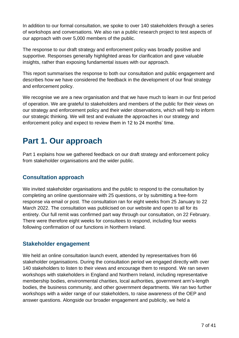In addition to our formal consultation, we spoke to over 140 stakeholders through a series of workshops and conversations. We also ran a public research project to test aspects of our approach with over 5,000 members of the public.

The response to our draft strategy and enforcement policy was broadly positive and supportive. Responses generally highlighted areas for clarification and gave valuable insights, rather than exposing fundamental issues with our approach.

This report summarises the response to both our consultation and public engagement and describes how we have considered the feedback in the development of our final strategy and enforcement policy.

We recognise we are a new organisation and that we have much to learn in our first period of operation. We are grateful to stakeholders and members of the public for their views on our strategy and enforcement policy and their wider observations, which will help to inform our strategic thinking. We will test and evaluate the approaches in our strategy and enforcement policy and expect to review them in 12 to 24 months' time.

## <span id="page-6-0"></span>**Part 1. Our approach**

Part 1 explains how we gathered feedback on our draft strategy and enforcement policy from stakeholder organisations and the wider public.

## <span id="page-6-1"></span>**Consultation approach**

We invited stakeholder organisations and the public to respond to the consultation by completing an online questionnaire with 25 questions, or by submitting a free-form response via email or post. The consultation ran for eight weeks from 25 January to 22 March 2022. The consultation was publicised on our website and open to all for its entirety. Our full remit was confirmed part way through our consultation, on 22 February. There were therefore eight weeks for consultees to respond, including four weeks following confirmation of our functions in Northern Ireland.

## <span id="page-6-2"></span>**Stakeholder engagement**

We held an online consultation launch event, attended by representatives from 66 stakeholder organisations. During the consultation period we engaged directly with over 140 stakeholders to listen to their views and encourage them to respond. We ran seven workshops with stakeholders in England and Northern Ireland, including representative membership bodies, environmental charities, local authorities, government arm's-length bodies, the business community, and other government departments. We ran two further workshops with a wider range of our stakeholders, to raise awareness of the OEP and answer questions. Alongside our broader engagement and publicity, we held a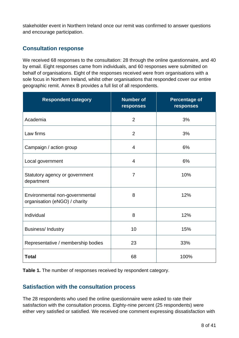stakeholder event in Northern Ireland once our remit was confirmed to answer questions and encourage participation.

## <span id="page-7-0"></span>**Consultation response**

We received 68 responses to the consultation: 28 through the online questionnaire, and 40 by email. Eight responses came from individuals, and 60 responses were submitted on behalf of organisations. Eight of the responses received were from organisations with a sole focus in Northern Ireland, whilst other organisations that responded cover our entire geographic remit. Annex B provides a full list of all respondents.

| <b>Respondent category</b>                                      | <b>Number of</b><br>responses | <b>Percentage of</b><br>responses |  |  |
|-----------------------------------------------------------------|-------------------------------|-----------------------------------|--|--|
| Academia                                                        | $\overline{2}$                | 3%                                |  |  |
| Law firms                                                       | $\overline{2}$                | 3%                                |  |  |
| Campaign / action group                                         | 4                             | 6%                                |  |  |
| Local government                                                | 4                             | 6%                                |  |  |
| Statutory agency or government<br>department                    | $\overline{7}$                | 10%                               |  |  |
| Environmental non-governmental<br>organisation (eNGO) / charity | 8                             | 12%                               |  |  |
| Individual                                                      | 8                             | 12%                               |  |  |
| <b>Business/Industry</b>                                        | 10                            | 15%                               |  |  |
| Representative / membership bodies                              | 23                            | 33%                               |  |  |
| <b>Total</b>                                                    | 68                            | 100%                              |  |  |

**Table 1.** The number of responses received by respondent category.

## <span id="page-7-1"></span>**Satisfaction with the consultation process**

The 28 respondents who used the online questionnaire were asked to rate their satisfaction with the consultation process. Eighty-nine percent (25 respondents) were either very satisfied or satisfied. We received one comment expressing dissatisfaction with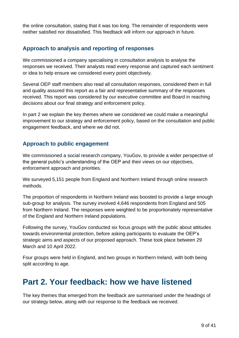the online consultation, stating that it was too long. The remainder of respondents were neither satisfied nor dissatisfied. This feedback will inform our approach in future.

## <span id="page-8-0"></span>**Approach to analysis and reporting of responses**

We commissioned a company specialising in consultation analysis to analyse the responses we received. Their analysts read every response and captured each sentiment or idea to help ensure we considered every point objectively.

Several OEP staff members also read all consultation responses, considered them in full and quality assured this report as a fair and representative summary of the responses received. This report was considered by our executive committee and Board in reaching decisions about our final strategy and enforcement policy.

In part 2 we explain the key themes where we considered we could make a meaningful improvement to our strategy and enforcement policy, based on the consultation and public engagement feedback, and where we did not.

## <span id="page-8-1"></span>**Approach to public engagement**

We commissioned a social research company, YouGov, to provide a wider perspective of the general public's understanding of the OEP and their views on our objectives, enforcement approach and priorities.

We surveyed 5,151 people from England and Northern Ireland through online research methods.

The proportion of respondents in Northern Ireland was boosted to provide a large enough sub-group for analysis. The survey involved 4,646 respondents from England and 505 from Northern Ireland. The responses were weighted to be proportionately representative of the England and Northern Ireland populations.

Following the survey, YouGov conducted six focus groups with the public about attitudes towards environmental protection, before asking participants to evaluate the OEP's strategic aims and aspects of our proposed approach. These took place between 29 March and 10 April 2022.

Four groups were held in England, and two groups in Northern Ireland, with both being split according to age.

## <span id="page-8-2"></span>**Part 2. Your feedback: how we have listened**

The key themes that emerged from the feedback are summarised under the headings of our strategy below, along with our response to the feedback we received.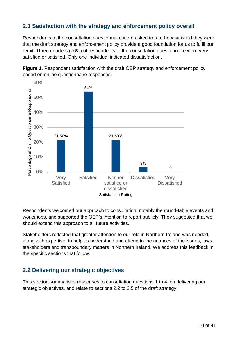## <span id="page-9-0"></span>**2.1 Satisfaction with the strategy and enforcement policy overall**

Respondents to the consultation questionnaire were asked to rate how satisfied they were that the draft strategy and enforcement policy provide a good foundation for us to fulfil our remit. Three quarters (76%) of respondents to the consultation questionnaire were very satisfied or satisfied. Only one individual indicated dissatisfaction.



**Figure 1.** Respondent satisfaction with the draft OEP strategy and enforcement policy based on online questionnaire responses.

Respondents welcomed our approach to consultation, notably the round-table events and workshops, and supported the OEP's intention to report publicly. They suggested that we should extend this approach to all future activities.

Stakeholders reflected that greater attention to our role in Northern Ireland was needed, along with expertise, to help us understand and attend to the nuances of the issues, laws, stakeholders and transboundary matters in Northern Ireland. We address this feedback in the specific sections that follow.

## <span id="page-9-1"></span>**2.2 Delivering our strategic objectives**

This section summarises responses to consultation questions 1 to 4, on delivering our strategic objectives, and relate to sections 2.2 to 2.5 of the draft strategy.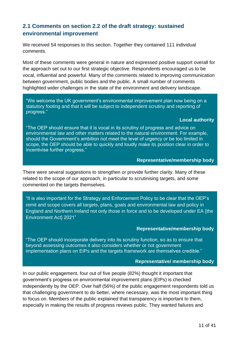## **2.1 Comments on section 2.2 of the draft strategy: sustained environmental improvement**

We received 54 responses to this section. Together they contained 111 individual comments.

Most of these comments were general in nature and expressed positive support overall for the approach set out to our first strategic objective. Respondents encouraged us to be vocal, influential and powerful. Many of the comments related to improving communication between government, public bodies and the public. A small number of comments highlighted wider challenges in the state of the environment and delivery landscape.

"We welcome the UK government's environmental improvement plan now being on a statutory footing and that it will be subject to independent scrutiny and reporting of progress."

#### **Local authority**

"The OEP should ensure that it is vocal in its scrutiny of progress and advice on environmental law and other matters related to the natural environment. For example, should the Government's ambition not meet the level of urgency or be too limited in scope, the OEP should be able to quickly and loudly make its position clear in order to incentivise further progress."

#### **Representative/membership body**

There were several suggestions to strengthen or provide further clarity. Many of these related to the scope of our approach, in particular to scrutinising targets, and some commented on the targets themselves.

"It is also important for the Strategy and Enforcement Policy to be clear that the OEP's remit and scope covers all targets, plans, goals and environmental law and policy in England and Northern Ireland not only those in force and to be developed under EA [the Environment Act] 2021"

#### **Representative/membership body**

"The OEP should incorporate delivery into its scrutiny function, so as to ensure that beyond assessing outcomes it also considers whether or not government implementation plans on EIPs and the targets framework are themselves credible."

#### **Representative/ membership body**

In our public engagement, four out of five people (82%) thought it important that government's progress on environmental improvement plans (EIPs) is checked independently by the OEP. Over half (56%) of the public engagement respondents told us that challenging government to do better, where necessary, was the most important thing to focus on. Members of the public explained that transparency is important to them, especially in making the results of progress reviews public. They wanted failures and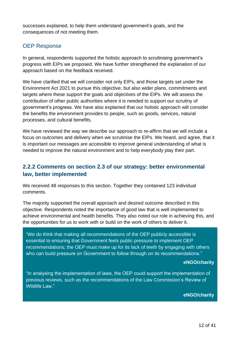successes explained, to help them understand government's goals, and the consequences of not meeting them.

## OEP Response

In general, respondents supported the holistic approach to scrutinising government's progress with EIPs we proposed. We have further strengthened the explanation of our approach based on the feedback received.

We have clarified that we will consider not only EIPs, and those targets set under the Environment Act 2021 to pursue this objective, but also wider plans, commitments and targets where these support the goals and objectives of the EIPs. We will assess the contribution of other public authorities where it is needed to support our scrutiny of government's progress. We have also explained that our holistic approach will consider the benefits the environment provides to people, such as goods, services, natural processes, and cultural benefits.

We have reviewed the way we describe our approach to re-affirm that we will include a focus on outcomes and delivery when we scrutinise the EIPs. We heard, and agree, that it is important our messages are accessible to improve general understanding of what is needed to improve the natural environment and to help everybody play their part.

## **2.2.2 Comments on section 2.3 of our strategy: better environmental law, better implemented**

We received 48 responses to this section. Together they contained 123 individual comments.

The majority supported the overall approach and desired outcome described in this objective. Respondents noted the importance of good law that is well implemented to achieve environmental and health benefits. They also noted our role in achieving this, and the opportunities for us to work with or build on the work of others to deliver it.

"We do think that making all recommendations of the OEP publicly accessible is essential to ensuring that Government feels public pressure to implement OEP recommendations; the OEP must make up for its lack of teeth by engaging with others who can build pressure on Government to follow through on its recommendations."

#### **eNGO/charity**

"In analysing the implementation of laws, the OEP could support the implementation of previous reviews, such as the recommendations of the Law Commission's Review of Wildlife Law."

#### **eNGO/charity**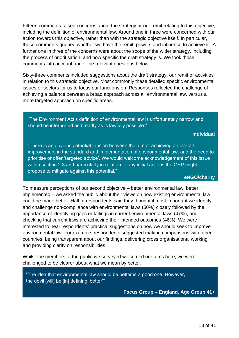Fifteen comments raised concerns about the strategy or our remit relating to this objective, including the definition of environmental law. Around one in three were concerned with our action towards this objective, rather than with the strategic objective itself. In particular, these comments queried whether we have the remit, powers and influence to achieve it. A further one in three of the concerns were about the scope of the wider strategy, including the process of prioritisation, and how specific the draft strategy is. We took those comments into account under the relevant questions below.

Sixty-three comments included suggestions about the draft strategy, our remit or activities in relation to this strategic objective. Most commonly these detailed specific environmental issues or sectors for us to focus our functions on. Responses reflected the challenge of achieving a balance between a broad approach across all environmental law, versus a more targeted approach on specific areas.

"The Environment Act's definition of environmental law is unfortunately narrow and should be interpreted as broadly as is lawfully possible."

#### **Individual**

"There is an obvious potential tension between the aim of achieving an overall improvement in the standard and implementation of environmental law; and the need to prioritise or offer 'targeted advice'. We would welcome acknowledgement of this issue within section 2.3 and particularly in relation to any initial actions the OEP might propose to mitigate against this potential."

#### **eNGO/charity**

To measure perceptions of our second objective – better environmental law, better implemented – we asked the public about their views on how existing environmental law could be made better. Half of respondents said they thought it most important we identify and challenge non-compliance with environmental laws (50%) closely followed by the importance of identifying gaps or failings in current environmental laws (47%), and checking that current laws are achieving their intended outcomes (46%). We were interested to hear respondents' practical suggestions on how we should seek to improve environmental law. For example, respondents suggested making comparisons with other countries, being transparent about our findings, delivering cross organisational working and providing clarity on responsibilities.

Whilst the members of the public we surveyed welcomed our aims here, we were challenged to be clearer about what we mean by better.

"The idea that environmental law should be better is a good one. However, the devil [will] be [in] defining 'better'"

**Focus Group – England, Age Group 41+**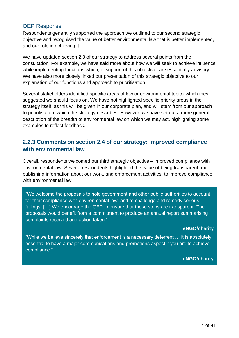## OEP Response

Respondents generally supported the approach we outlined to our second strategic objective and recognised the value of better environmental law that is better implemented, and our role in achieving it.

We have updated section 2.3 of our strategy to address several points from the consultation. For example, we have said more about how we will seek to achieve influence while implementing functions which, in support of this objective, are essentially advisory. We have also more closely linked our presentation of this strategic objective to our explanation of our functions and approach to prioritisation.

Several stakeholders identified specific areas of law or environmental topics which they suggested we should focus on. We have not highlighted specific priority areas in the strategy itself, as this will be given in our corporate plan, and will stem from our approach to prioritisation, which the strategy describes. However, we have set out a more general description of the breadth of environmental law on which we may act, highlighting some examples to reflect feedback.

## **2.2.3 Comments on section 2.4 of our strategy: improved compliance with environmental law**

Overall, respondents welcomed our third strategic objective – improved compliance with environmental law. Several respondents highlighted the value of being transparent and publishing information about our work, and enforcement activities, to improve compliance with environmental law.

"We welcome the proposals to hold government and other public authorities to account for their compliance with environmental law, and to challenge and remedy serious failings. […] We encourage the OEP to ensure that these steps are transparent. The proposals would benefit from a commitment to produce an annual report summarising complaints received and action taken."

#### **eNGO/charity**

"While we believe sincerely that enforcement is a necessary deterrent … it is absolutely essential to have a major communications and promotions aspect if you are to achieve compliance."

#### **eNGO/charity**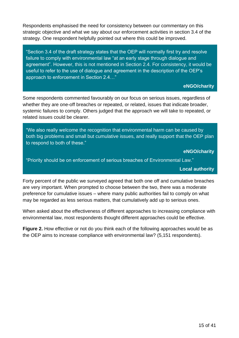Respondents emphasised the need for consistency between our commentary on this strategic objective and what we say about our enforcement activities in section 3.4 of the strategy. One respondent helpfully pointed out where this could be improved.

"Section 3.4 of the draft strategy states that the OEP will normally first try and resolve failure to comply with environmental law "at an early stage through dialogue and agreement". However, this is not mentioned in Section 2.4. For consistency, it would be useful to refer to the use of dialogue and agreement in the description of the OEP's approach to enforcement in Section 2.4…"

#### **eNGO/charity**

Some respondents commented favourably on our focus on serious issues, regardless of whether they are one-off breaches or repeated, or related, issues that indicate broader, systemic failures to comply. Others judged that the approach we will take to repeated, or related issues could be clearer.

"We also really welcome the recognition that environmental harm can be caused by both big problems and small but cumulative issues, and really support that the OEP plan to respond to both of these."

**eNGO/charity**

"Priority should be on enforcement of serious breaches of Environmental Law."

**Local authority**

Forty percent of the public we surveyed agreed that both one off and cumulative breaches are very important. When prompted to choose between the two, there was a moderate preference for cumulative issues – where many public authorities fail to comply on what may be regarded as less serious matters, that cumulatively add up to serious ones.

When asked about the effectiveness of different approaches to increasing compliance with environmental law, most respondents thought different approaches could be effective.

**Figure 2.** How effective or not do you think each of the following approaches would be as the OEP aims to increase compliance with environmental law? (5,151 respondents).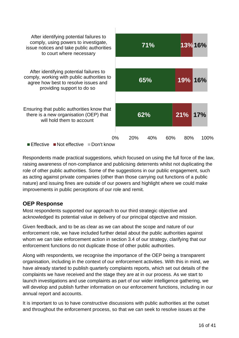

Respondents made practical suggestions, which focused on using the full force of the law, raising awareness of non-compliance and publicising deterrents whilst not duplicating the role of other public authorities. Some of the suggestions in our public engagement, such as acting against private companies (other than those carrying out functions of a public nature) and issuing fines are outside of our powers and highlight where we could make improvements in public perceptions of our role and remit.

## **OEP Response**

Most respondents supported our approach to our third strategic objective and acknowledged its potential value in delivery of our principal objective and mission.

Given feedback, and to be as clear as we can about the scope and nature of our enforcement role, we have included further detail about the public authorities against whom we can take enforcement action in section 3.4 of our strategy, clarifying that our enforcement functions do not duplicate those of other public authorities.

Along with respondents, we recognise the importance of the OEP being a transparent organisation, including in the context of our enforcement activities. With this in mind, we have already started to publish quarterly complaints reports, which set out details of the complaints we have received and the stage they are at in our process. As we start to launch investigations and use complaints as part of our wider intelligence gathering, we will develop and publish further information on our enforcement functions, including in our annual report and accounts.

It is important to us to have constructive discussions with public authorities at the outset and throughout the enforcement process, so that we can seek to resolve issues at the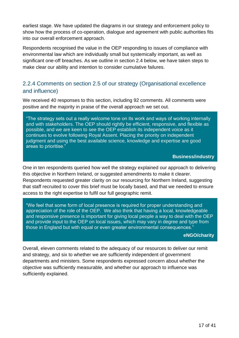earliest stage. We have updated the diagrams in our strategy and enforcement policy to show how the process of co-operation, dialogue and agreement with public authorities fits into our overall enforcement approach.

Respondents recognised the value in the OEP responding to issues of compliance with environmental law which are individually small but systemically important, as well as significant one-off breaches. As we outline in section 2.4 below, we have taken steps to make clear our ability and intention to consider cumulative failures.

## 2.2.4 Comments on section 2.5 of our strategy (Organisational excellence and influence)

We received 40 responses to this section, including 92 comments. All comments were positive and the majority in praise of the overall approach we set out.

"The strategy sets out a really welcome tone on its work and ways of working internally and with stakeholders. The OEP should rightly be efficient, responsive, and flexible as possible, and we are keen to see the OEP establish its independent voice as it continues to evolve following Royal Assent. Placing the priority on independent judgment and using the best available science, knowledge and expertise are good areas to prioritise."

#### **Business/industry**

One in ten respondents queried how well the strategy explained our approach to delivering this objective in Northern Ireland, or suggested amendments to make it clearer. Respondents requested greater clarity on our resourcing for Northern Ireland, suggesting that staff recruited to cover this brief must be locally based, and that we needed to ensure access to the right expertise to fulfil our full geographic remit.

"We feel that some form of local presence is required for proper understanding and appreciation of the role of the OEP. We also think that having a local, knowledgeable and responsive presence is important for giving local people a way to deal with the OEP and provide input to the OEP on local issues, which may vary in degree and type from those in England but with equal or even greater environmental consequences."

#### **eNGO/charity**

Overall, eleven comments related to the adequacy of our resources to deliver our remit and strategy, and six to whether we are sufficiently independent of government departments and ministers. Some respondents expressed concern about whether the objective was sufficiently measurable, and whether our approach to influence was sufficiently explained.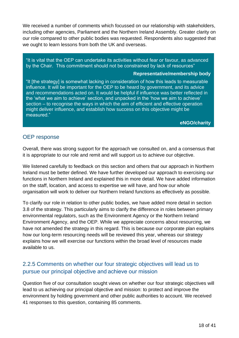We received a number of comments which focussed on our relationship with stakeholders, including other agencies, Parliament and the Northern Ireland Assembly. Greater clarity on our role compared to other public bodies was requested. Respondents also suggested that we ought to learn lessons from both the UK and overseas.

"It is vital that the OEP can undertake its activities without fear or favour, as advanced by the Chair. This commitment should not be constrained by lack of resources"

#### **Representative/membership body**

"It [the strategy] is somewhat lacking in consideration of how this leads to measurable influence. It will be important for the OEP to be heard by government, and its advice and recommendations acted on. It would be helpful if influence was better reflected in the 'what we aim to achieve' section, and unpacked in the 'how we aim to achieve' section – to recognise the ways in which the aim of efficient and effective operation might deliver influence, and establish how success on this objective might be measured."

#### **eNGO/charity**

#### OEP response

Overall, there was strong support for the approach we consulted on, and a consensus that it is appropriate to our role and remit and will support us to achieve our objective.

We listened carefully to feedback on this section and others that our approach in Northern Ireland must be better defined. We have further developed our approach to exercising our functions in Northern Ireland and explained this in more detail. We have added information on the staff, location, and access to expertise we will have, and how our whole organisation will work to deliver our Northern Ireland functions as effectively as possible.

To clarify our role in relation to other public bodies, we have added more detail in section 3.8 of the strategy. This particularly aims to clarify the difference in roles between primary environmental regulators, such as the Environment Agency or the Northern Ireland Environment Agency, and the OEP. While we appreciate concerns about resourcing, we have not amended the strategy in this regard. This is because our corporate plan explains how our long-term resourcing needs will be reviewed this year, whereas our strategy explains how we will exercise our functions within the broad level of resources made available to us.

## 2.2.5 Comments on whether our four strategic objectives will lead us to pursue our principal objective and achieve our mission

Question five of our consultation sought views on whether our four strategic objectives will lead to us achieving our principal objective and mission: to protect and improve the environment by holding government and other public authorities to account. We received 41 responses to this question, containing 85 comments.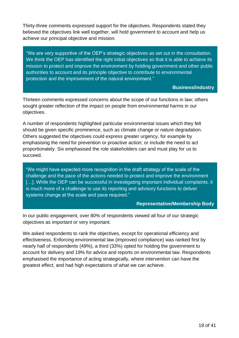Thirty-three comments expressed support for the objectives. Respondents stated they believed the objectives link well together, will hold government to account and help us achieve our principal objective and mission.

"We are very supportive of the OEP's strategic objectives as set out in the consultation. We think the OEP has identified the right initial objectives so that it is able to achieve its mission to protect and improve the environment by holding government and other public authorities to account and its principle objective to contribute to environmental protection and the improvement of the natural environment."

**Business/industry**

Thirteen comments expressed concerns about the scope of our functions in law; others sought greater reflection of the impact on people from environmental harms in our objectives.

A number of respondents highlighted particular environmental issues which they felt should be given specific prominence, such as climate change or nature degradation. Others suggested the objectives could express greater urgency, for example by emphasising the need for prevention or proactive action; or include the need to act proportionately. Six emphasised the role stakeholders can and must play for us to succeed.

"We might have expected more recognition in the draft strategy of the scale of the challenge and the pace of the actions needed to protect and improve the environment [...]. While the OEP can be successful in investigating important individual complaints, it is much more of a challenge to use its reporting and advisory functions to deliver systems change at the scale and pace required."

#### **Representative/Membership Body**

In our public engagement, over 80% of respondents viewed all four of our strategic objectives as important or very important.

We asked respondents to rank the objectives, except for operational efficiency and effectiveness. Enforcing environmental law (improved compliance) was ranked first by nearly half of respondents (49%), a third (33%) opted for holding the government to account for delivery and 19% for advice and reports on environmental law. Respondents emphasised the importance of acting strategically, where intervention can have the greatest effect, and had high expectations of what we can achieve.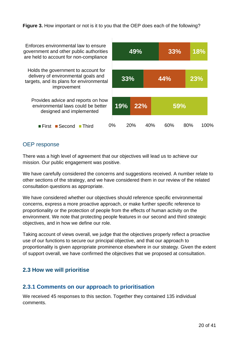#### **Figure 3.** How important or not is it to you that the OEP does each of the following?

| Enforces environmental law to ensure<br>government and other public authorities<br>are held to account for non-compliance             | 49%   |                 |     | 33%        |     | 18%  |
|---------------------------------------------------------------------------------------------------------------------------------------|-------|-----------------|-----|------------|-----|------|
| Holds the government to account for<br>delivery of environmental goals and<br>targets, and its plans for environmental<br>improvement | 33%   |                 | 44% |            |     | 23%  |
| Provides advice and reports on how<br>environmental laws could be better<br>designed and implemented                                  | 19%   | 22%             |     | <b>59%</b> |     |      |
| <b>■Second</b><br>$\blacksquare$ Third<br>⊞First                                                                                      | $0\%$ | 20 <sub>%</sub> | 40% | 60%        | 80% | 100% |

## OEP response

There was a high level of agreement that our objectives will lead us to achieve our mission. Our public engagement was positive.

We have carefully considered the concerns and suggestions received. A number relate to other sections of the strategy, and we have considered them in our review of the related consultation questions as appropriate.

We have considered whether our objectives should reference specific environmental concerns, express a more proactive approach, or make further specific reference to proportionality or the protection of people from the effects of human activity on the environment. We note that protecting people features in our second and third strategic objectives, and in how we define our role.

Taking account of views overall, we judge that the objectives properly reflect a proactive use of our functions to secure our principal objective, and that our approach to proportionality is given appropriate prominence elsewhere in our strategy. Given the extent of support overall, we have confirmed the objectives that we proposed at consultation.

## <span id="page-19-0"></span>**2.3 How we will prioritise**

## **2.3.1 Comments on our approach to prioritisation**

We received 45 responses to this section. Together they contained 135 individual comments.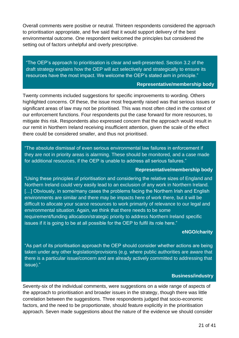Overall comments were positive or neutral. Thirteen respondents considered the approach to prioritisation appropriate, and five said that it would support delivery of the best environmental outcome. One respondent welcomed the principles but considered the setting out of factors unhelpful and overly prescriptive.

"The OEP's approach to prioritisation is clear and well-presented. Section 3.2 of the draft strategy explains how the OEP will act selectively and strategically to ensure its resources have the most impact. We welcome the OEP's stated aim in principle."

#### **Representative/membership body**

Twenty comments included suggestions for specific improvements to wording. Others highlighted concerns. Of these, the issue most frequently raised was that serious issues or significant areas of law may not be prioritised. This was most often cited in the context of our enforcement functions. Four respondents put the case forward for more resources, to mitigate this risk. Respondents also expressed concern that the approach would result in our remit in Northern Ireland receiving insufficient attention, given the scale of the effect there could be considered smaller, and thus not prioritised.

"The absolute dismissal of even serious environmental law failures in enforcement if they are not in priority areas is alarming. These should be monitored, and a case made for additional resources, if the OEP is unable to address all serious failures."

#### **Representative/membership body**

"Using these principles of prioritisation and considering the relative sizes of England and Northern Ireland could very easily lead to an exclusion of any work in Northern Ireland. [...] Obviously, in some/many cases the problems facing the Northern Irish and English environments are similar and there may be impacts here of work there, but it will be difficult to allocate your scarce resources to work primarily of relevance to our legal and environmental situation. Again, we think that there needs to be some requirement/funding allocation/strategic priority to address Northern Ireland specific issues if it is going to be at all possible for the OEP to fulfil its role here."

#### **eNGO/charity**

"As part of its prioritisation approach the OEP should consider whether actions are being taken under any other legislation/provisions (e.g. where public authorities are aware that there is a particular issue/concern and are already actively committed to addressing that issue)."

#### **Business/industry**

Seventy-six of the individual comments, were suggestions on a wide range of aspects of the approach to prioritisation and broader issues in the strategy, though there was little correlation between the suggestions. Three respondents judged that socio-economic factors, and the need to be proportionate, should feature explicitly in the prioritisation approach. Seven made suggestions about the nature of the evidence we should consider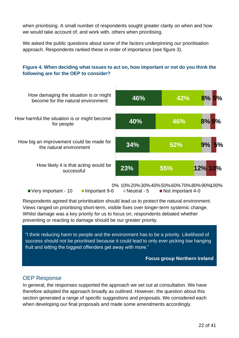when prioritising. A small number of respondents sought greater clarity on when and how we would take account of, and work with, others when prioritising.

We asked the public questions about some of the factors underpinning our prioritisation approach. Respondents ranked these in order of importance (see figure 3).

#### **Figure 4. When deciding what issues to act on, how important or not do you think the following are for the OEP to consider?**



Respondents agreed that prioritisation should lead us to protect the natural environment. Views ranged on prioritising short-term, visible fixes over longer-term systemic change. Whilst damage was a key priority for us to focus on, respondents debated whether preventing or reacting to damage should be our greater priority.

"I think reducing harm to people and the environment has to be a priority. Likelihood of success should not be prioritised because it could lead to only ever picking low hanging fruit and letting the biggest offenders get away with more."

#### **Focus group Northern Ireland**

#### OEP Response

In general, the responses supported the approach we set out at consultation. We have therefore adopted the approach broadly as outlined. However, the question about this section generated a range of specific suggestions and proposals. We considered each when developing our final proposals and made some amendments accordingly.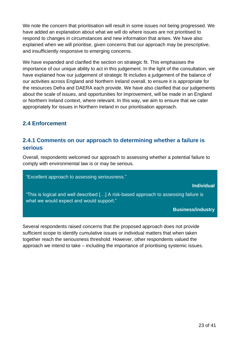We note the concern that prioritisation will result in some issues not being progressed. We have added an explanation about what we will do where issues are not prioritised to respond to changes in circumstances and new information that arises. We have also explained when we will prioritise, given concerns that our approach may be prescriptive, and insufficiently responsive to emerging concerns.

We have expanded and clarified the section on strategic fit. This emphasises the importance of our unique ability to act in this judgement. In the light of the consultation, we have explained how our judgement of strategic fit includes a judgement of the balance of our activities across England and Northern Ireland overall, to ensure it is appropriate for the resources Defra and DAERA each provide. We have also clarified that our judgements about the scale of issues, and opportunities for improvement, will be made in an England or Northern Ireland context, where relevant. In this way, we aim to ensure that we cater appropriately for issues in Northern Ireland in our prioritisation approach.

## <span id="page-22-0"></span>**2.4 Enforcement**

## **2.4.1 Comments on our approach to determining whether a failure is serious**

Overall, respondents welcomed our approach to assessing whether a potential failure to comply with environmental law is or may be serious.

"Excellent approach to assessing seriousness."

**Individual**

"This is logical and well described […] A risk-based approach to assessing failure is what we would expect and would support."

**Business/industry**

Several respondents raised concerns that the proposed approach does not provide sufficient scope to identify cumulative issues or individual matters that when taken together reach the seriousness threshold. However, other respondents valued the approach we intend to take – including the importance of prioritising systemic issues.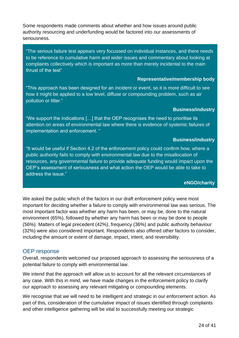Some respondents made comments about whether and how issues around public authority resourcing and underfunding would be factored into our assessments of seriousness.

"The serious failure test appears very focussed on individual instances, and there needs to be reference to cumulative harm and wider issues and commentary about looking at complaints collectively which is important as more than merely incidental to the main thrust of the test"

#### **Representative/membership body**

"This approach has been designed for an incident or event, so it is more difficult to see how it might be applied to a low level, diffuse or compounding problem, such as air pollution or litter."

#### **Business/industry**

"We support the indications […] that the OEP recognises the need to prioritise its attention on areas of environmental law where there is evidence of systemic failures of implementation and enforcement. "

#### **Business/industry**

"It would be useful if Section 4.2 of the enforcement policy could confirm how, where a public authority fails to comply with environmental law due to the misallocation of resources, any governmental failure to provide adequate funding would impact upon the OEP's assessment of seriousness and what action the OEP would be able to take to address the issue."

#### **eNGO/charity**

We asked the public which of the factors in our draft enforcement policy were most important for deciding whether a failure to comply with environmental law was serious. The most important factor was whether any harm has been, or may be, done to the natural environment (65%), followed by whether any harm has been or may be done to people (56%). Matters of legal precedent (42%), frequency (36%) and public authority behaviour (32%) were also considered important. Respondents also offered other factors to consider, including the amount or extent of damage, impact, intent, and reversibility.

## OEP response

Overall, respondents welcomed our proposed approach to assessing the seriousness of a potential failure to comply with environmental law.

We intend that the approach will allow us to account for all the relevant circumstances of any case. With this in mind, we have made changes in the enforcement policy to clarify our approach to assessing any relevant mitigating or compounding elements.

We recognise that we will need to be intelligent and strategic in our enforcement action. As part of this, consideration of the cumulative impact of issues identified through complaints and other intelligence gathering will be vital to successfully meeting our strategic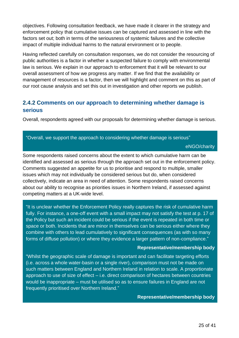objectives. Following consultation feedback, we have made it clearer in the strategy and enforcement policy that cumulative issues can be captured and assessed in line with the factors set out; both in terms of the seriousness of systemic failures and the collective impact of multiple individual harms to the natural environment or to people.

Having reflected carefully on consultation responses, we do not consider the resourcing of public authorities is a factor in whether a suspected failure to comply with environmental law is serious. We explain in our approach to enforcement that it will be relevant to our overall assessment of how we progress any matter. If we find that the availability or management of resources is a factor, then we will highlight and comment on this as part of our root cause analysis and set this out in investigation and other reports we publish.

## **2.4.2 Comments on our approach to determining whether damage is serious**

Overall, respondents agreed with our proposals for determining whether damage is serious.

#### "Overall, we support the approach to considering whether damage is serious"

eNGO/charity

Some respondents raised concerns about the extent to which cumulative harm can be identified and assessed as serious through the approach set out in the enforcement policy. Comments suggested an appetite for us to prioritise and respond to multiple, smaller issues which may not individually be considered serious but do, when considered collectively, indicate an area in need of attention. Some respondents raised concerns about our ability to recognise as priorities issues in Northern Ireland, if assessed against competing matters at a UK-wide level.

"It is unclear whether the Enforcement Policy really captures the risk of cumulative harm fully. For instance, a one-off event with a small impact may not satisfy the test at p. 17 of the Policy but such an incident could be serious if the event is repeated in both time or space or both. Incidents that are minor in themselves can be serious either where they combine with others to lead cumulatively to significant consequences (as with so many forms of diffuse pollution) or where they evidence a larger pattern of non-compliance."

#### **Representative/membership body**

"Whilst the geographic scale of damage is important and can facilitate targeting efforts (i.e. across a whole water-basin or a single river), comparison must not be made on such matters between England and Northern Ireland in relation to scale. A proportionate approach to use of size of effect – i.e. direct comparison of hectares between countries would be inappropriate – must be utilised so as to ensure failures in England are not frequently prioritised over Northern Ireland."

#### **Representative/membership body**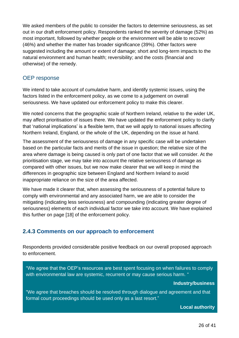We asked members of the public to consider the factors to determine seriousness, as set out in our draft enforcement policy. Respondents ranked the severity of damage (52%) as most important, followed by whether people or the environment will be able to recover (46%) and whether the matter has broader significance (39%). Other factors were suggested including the amount or extent of damage; short and long-term impacts to the natural environment and human health; reversibility; and the costs (financial and otherwise) of the remedy.

## OEP response

We intend to take account of cumulative harm, and identify systemic issues, using the factors listed in the enforcement policy, as we come to a judgement on overall seriousness. We have updated our enforcement policy to make this clearer.

We noted concerns that the geographic scale of Northern Ireland, relative to the wider UK, may affect prioritisation of issues there. We have updated the enforcement policy to clarify that 'national implications' is a flexible term, that we will apply to national issues affecting Northern Ireland, England, or the whole of the UK, depending on the issue at hand.

The assessment of the seriousness of damage in any specific case will be undertaken based on the particular facts and merits of the issue in question; the relative size of the area where damage is being caused is only part of one factor that we will consider. At the prioritisation stage, we may take into account the relative seriousness of damage as compared with other issues, but we now make clearer that we will keep in mind the differences in geographic size between England and Northern Ireland to avoid inappropriate reliance on the size of the area affected.

We have made it clearer that, when assessing the seriousness of a potential failure to comply with environmental and any associated harm, we are able to consider the mitigating (indicating less seriousness) and compounding (indicating greater degree of seriousness) elements of each individual factor we take into account. We have explained this further on page [18] of the enforcement policy.

## **2.4.3 Comments on our approach to enforcement**

Respondents provided considerable positive feedback on our overall proposed approach to enforcement.

"We agree that the OEP's resources are best spent focusing on when failures to comply with environmental law are systemic, recurrent or may cause serious harm. "

#### **Industry/business**

"We agree that breaches should be resolved through dialogue and agreement and that formal court proceedings should be used only as a last resort."

**Local authority**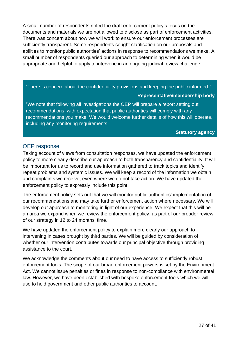A small number of respondents noted the draft enforcement policy's focus on the documents and materials we are not allowed to disclose as part of enforcement activities. There was concern about how we will work to ensure our enforcement processes are sufficiently transparent. Some respondents sought clarification on our proposals and abilities to monitor public authorities' actions in response to recommendations we make. A small number of respondents queried our approach to determining when it would be appropriate and helpful to apply to intervene in an ongoing judicial review challenge.

"There is concern about the confidentiality provisions and keeping the public informed."

#### **Representative/membership body**

"We note that following all investigations the OEP will prepare a report setting out recommendations, with expectation that public authorities will comply with any recommendations you make. We would welcome further details of how this will operate, including any monitoring requirements.

**Statutory agency**

## OEP response

Taking account of views from consultation responses, we have updated the enforcement policy to more clearly describe our approach to both transparency and confidentiality. It will be important for us to record and use information gathered to track topics and identify repeat problems and systemic issues. We will keep a record of the information we obtain and complaints we receive, even where we do not take action. We have updated the enforcement policy to expressly include this point.

The enforcement policy sets out that we will monitor public authorities' implementation of our recommendations and may take further enforcement action where necessary. We will develop our approach to monitoring in light of our experience. We expect that this will be an area we expand when we review the enforcement policy, as part of our broader review of our strategy in 12 to 24 months' time.

We have updated the enforcement policy to explain more clearly our approach to intervening in cases brought by third parties. We will be guided by consideration of whether our intervention contributes towards our principal objective through providing assistance to the court.

We acknowledge the comments about our need to have access to sufficiently robust enforcement tools. The scope of our broad enforcement powers is set by the Environment Act. We cannot issue penalties or fines in response to non-compliance with environmental law. However, we have been established with bespoke enforcement tools which we will use to hold government and other public authorities to account.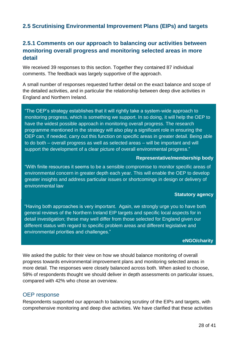## <span id="page-27-0"></span>**2.5 Scrutinising Environmental Improvement Plans (EIPs) and targets**

## **2.5.1 Comments on our approach to balancing our activities between monitoring overall progress and monitoring selected areas in more detail**

We received 39 responses to this section. Together they contained 87 individual comments. The feedback was largely supportive of the approach.

A small number of responses requested further detail on the exact balance and scope of the detailed activities, and in particular the relationship between deep dive activities in England and Northern Ireland.

"The OEP's strategy establishes that it will rightly take a system-wide approach to monitoring progress, which is something we support. In so doing, it will help the OEP to have the widest possible approach in monitoring overall progress. The research programme mentioned in the strategy will also play a significant role in ensuring the OEP can, if needed, carry out this function on specific areas in greater detail. Being able to do both – overall progress as well as selected areas – will be important and will support the development of a clear picture of overall environmental progress."

#### **Representative/membership body**

"With finite resources it seems to be a sensible compromise to monitor specific areas of environmental concern in greater depth each year. This will enable the OEP to develop greater insights and address particular issues or shortcomings in design or delivery of environmental law

#### **Statutory agency**

"Having both approaches is very important. Again, we strongly urge you to have both general reviews of the Northern Ireland EIP targets and specific local aspects for in detail investigation; these may well differ from those selected for England given our different status with regard to specific problem areas and different legislative and environmental priorities and challenges."

#### **eNGO/charity**

We asked the public for their view on how we should balance monitoring of overall progress towards environmental improvement plans and monitoring selected areas in more detail. The responses were closely balanced across both. When asked to choose, 58% of respondents thought we should deliver in depth assessments on particular issues, compared with 42% who chose an overview.

#### OEP response

Respondents supported our approach to balancing scrutiny of the EIPs and targets, with comprehensive monitoring and deep dive activities. We have clarified that these activities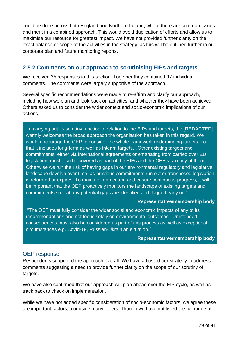could be done across both England and Northern Ireland, where there are common issues and merit in a combined approach. This would avoid duplication of efforts and allow us to maximise our resource for greatest impact. We have not provided further clarity on the exact balance or scope of the activities in the strategy, as this will be outlined further in our corporate plan and future monitoring reports.

## **2.5.2 Comments on our approach to scrutinising EIPs and targets**

We received 35 responses to this section. Together they contained 97 individual comments. The comments were largely supportive of the approach.

Several specific recommendations were made to re-affirm and clarify our approach, including how we plan and look back on activities, and whether they have been achieved. Others asked us to consider the wider context and socio-economic implications of our actions.

"In carrying out its scrutiny function in relation to the EIPs and targets, the [REDACTED] warmly welcomes the broad approach the organisation has taken in this regard. We would encourage the OEP to consider the whole framework underpinning targets, so that it includes long-term as well as interim targets…Other existing targets and commitments, either via international agreements or emanating from carried over EU legislation, must also be covered as part of the EIPs and the OEP's scrutiny of them. Otherwise we run the risk of having gaps in our environmental regulatory and legislative landscape develop over time, as previous commitments run out or transposed legislation is reformed or expires. To maintain momentum and ensure continuous progress, it will be important that the OEP proactively monitors the landscape of existing targets and commitments so that any potential gaps are identified and flagged early on."

#### **Representative/membership body**

"The OEP must fully consider the wider social and economic impacts of any of its recommendations and not focus solely on environmental outcomes. Unintended consequences must also be considered as part of this process as well as exceptional circumstances e.g. Covid-19, Russian-Ukrainian situation."

#### **Representative/membership body**

## OEP response

Respondents supported the approach overall. We have adjusted our strategy to address comments suggesting a need to provide further clarity on the scope of our scrutiny of targets.

We have also confirmed that our approach will plan ahead over the EIP cycle, as well as track back to check on implementation.

While we have not added specific consideration of socio-economic factors, we agree these are important factors, alongside many others. Though we have not listed the full range of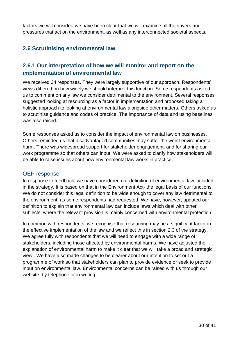factors we will consider, we have been clear that we will examine all the drivers and pressures that act on the environment, as well as any interconnected societal aspects.

## <span id="page-29-0"></span>**2.6 Scrutinising environmental law**

## **2.6.1 Our interpretation of how we will monitor and report on the implementation of environmental law**

We received 34 responses. They were largely supportive of our approach. Respondents' views differed on how widely we should interpret this function. Some respondents asked us to comment on any law we consider detrimental to the environment. Several responses suggested looking at resourcing as a factor in implementation and proposed taking a holistic approach to looking at environmental law alongside other matters. Others asked us to scrutinise guidance and codes of practice. The importance of data and using baselines was also raised.

Some responses asked us to consider the impact of environmental law on businesses. Others reminded us that disadvantaged communities may suffer the worst environmental harm. There was widespread support for stakeholder engagement, and for sharing our work programme so that others can input. We were asked to clarify how stakeholders will be able to raise issues about how environmental law works in practice.

## OEP response

In response to feedback, we have considered our definition of environmental law included in the strategy. It is based on that in the Environment Act- the legal basis of our functions. We do not consider this legal definition to be wide enough to cover any law detrimental to the environment, as some respondents had requested. We have, however, updated our definition to explain that environmental law can include laws which deal with other subjects, where the relevant provision is mainly concerned with environmental protection.

In common with respondents, we recognise that resourcing may be a significant factor in the effective implementation of the law and we reflect this in section 2.3 of the strategy. We agree fully with respondents that we will need to engage with a wide range of stakeholders, including those affected by environmental harms. We have adjusted the explanation of environmental harm to make it clear that we will take a broad and strategic view . We have also made changes to be clearer about our intention to set out a programme of work so that stakeholders can plan to provide evidence or seek to provide input on environmental law. Environmental concerns can be raised with us through our website, by telephone or in writing.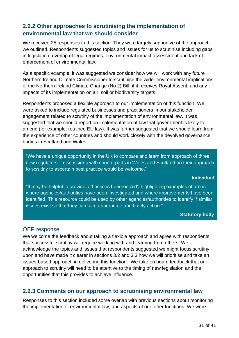## **2.6.2 Other approaches to scrutinising the implementation of environmental law that we should consider**

We received 25 responses to this section. They were largely supportive of the approach we outlined. Respondents suggested topics and issues for us to scrutinise including gaps in legislation, overlap of legal regimes, environmental impact assessment and lack of enforcement of environmental law.

As a specific example, it was suggested we consider how we will work with any future Northern Ireland Climate Commissioner to scrutinise the wider environmental implications of the Northern Ireland Climate Change (No.2) Bill, if it receives Royal Assent, and any impacts of its implementation on air, soil or biodiversity targets.

Respondents proposed a flexible approach to our implementation of this function. We were asked to include regulated businesses and practitioners in our stakeholder engagement related to scrutiny of the implementation of environmental law. It was suggested that we should report on implementation of law that government is likely to amend (for example, retained EU law). It was further suggested that we should learn from the experience of other countries and should work closely with the devolved governance bodies in Scotland and Wales.

"We have a unique opportunity in the UK to compare and learn from approach of three new regulators – discussions with counterparts in Wales and Scotland on their approach to scrutiny to ascertain best practice would be welcome."

#### **Individual**

"It may be helpful to provide a 'Lessons Learned Aid', highlighting examples of areas where agencies/authorities have been investigated and where improvements have been identified. This resource could be used by other agencies/authorities to identify if similar issues exist so that they can take appropriate and timely action."

#### **Statutory body**

## OEP response

We welcome the feedback about taking a flexible approach and agree with respondents that successful scrutiny will require working with and learning from others. We acknowledge the topics and issues that respondents suggested we might focus scrutiny upon and have made it clearer in sections 3.2 and 3.3 how we will prioritise and take an issues-based approach in delivering this function. We take on board feedback that our approach to scrutiny will need to be attentive to the timing of new legislation and the opportunities that this provides to achieve influence.

## **2.6.3 Comments on our approach to scrutinising environmental law**

Responses to this section included some overlap with previous sections about monitoring the implementation of environmental law, and aspects of our other functions. We were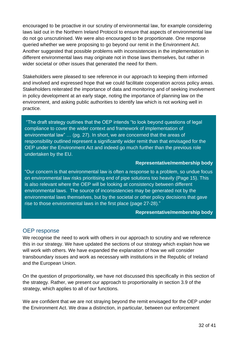encouraged to be proactive in our scrutiny of environmental law, for example considering laws laid out in the Northern Ireland Protocol to ensure that aspects of environmental law do not go unscrutinised. We were also encouraged to be proportionate. One response queried whether we were proposing to go beyond our remit in the Environment Act. Another suggested that possible problems with inconsistencies in the implementation in different environmental laws may originate not in those laws themselves, but rather in wider societal or other issues that generated the need for them.

Stakeholders were pleased to see reference in our approach to keeping them informed and involved and expressed hope that we could facilitate cooperation across policy areas. Stakeholders reiterated the importance of data and monitoring and of seeking involvement in policy development at an early stage, noting the importance of planning law on the environment, and asking public authorities to identify law which is not working well in practice.

"The draft strategy outlines that the OEP intends "to look beyond questions of legal compliance to cover the wider context and framework of implementation of environmental law" … (pg. 27). In short, we are concerned that the areas of responsibility outlined represent a significantly wider remit than that envisaged for the OEP under the Environment Act and indeed go much further than the previous role undertaken by the EU.

#### **Representative/membership body**

"Our concern is that environmental law is often a response to a problem, so undue focus on environmental law risks prioritising end of pipe solutions too heavily (Page 15). This is also relevant where the OEP will be looking at consistency between different environmental laws. The source of inconsistencies may be generated not by the environmental laws themselves, but by the societal or other policy decisions that gave rise to those environmental laws in the first place (page 27-28)."

#### **Representative/membership body**

## OEP response

We recognise the need to work with others in our approach to scrutiny and we reference this in our strategy. We have updated the sections of our strategy which explain how we will work with others. We have expanded the explanation of how we will consider transboundary issues and work as necessary with institutions in the Republic of Ireland and the European Union.

On the question of proportionality, we have not discussed this specifically in this section of the strategy. Rather, we present our approach to proportionality in section 3.9 of the strategy, which applies to all of our functions.

We are confident that we are not straying beyond the remit envisaged for the OEP under the Environment Act. We draw a distinction, in particular, between our enforcement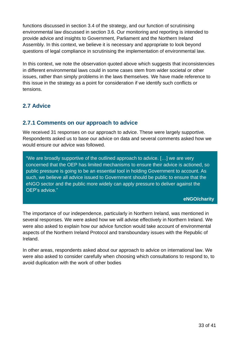functions discussed in section 3.4 of the strategy, and our function of scrutinising environmental law discussed in section 3.6. Our monitoring and reporting is intended to provide advice and insights to Government, Parliament and the Northern Ireland Assembly. In this context, we believe it is necessary and appropriate to look beyond questions of legal compliance in scrutinising the implementation of environmental law.

In this context, we note the observation quoted above which suggests that inconsistencies in different environmental laws could in some cases stem from wider societal or other issues, rather than simply problems in the laws themselves. We have made reference to this issue in the strategy as a point for consideration if we identify such conflicts or tensions.

## <span id="page-32-0"></span>**2.7 Advice**

## **2.7.1 Comments on our approach to advice**

We received 31 responses on our approach to advice. These were largely supportive. Respondents asked us to base our advice on data and several comments asked how we would ensure our advice was followed.

"We are broadly supportive of the outlined approach to advice. […] we are very concerned that the OEP has limited mechanisms to ensure their advice is actioned, so public pressure is going to be an essential tool in holding Government to account. As such, we believe all advice issued to Government should be public to ensure that the eNGO sector and the public more widely can apply pressure to deliver against the OEP's advice."

## **eNGO/charity**

The importance of our independence, particularly in Northern Ireland, was mentioned in several responses. We were asked how we will advise effectively in Northern Ireland. We were also asked to explain how our advice function would take account of environmental aspects of the Northern Ireland Protocol and transboundary issues with the Republic of Ireland.

In other areas, respondents asked about our approach to advice on international law. We were also asked to consider carefully when choosing which consultations to respond to, to avoid duplication with the work of other bodies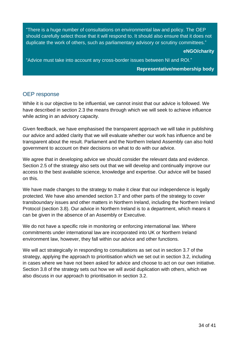"There is a huge number of consultations on environmental law and policy. The OEP should carefully select those that it will respond to. It should also ensure that it does not duplicate the work of others, such as parliamentary advisory or scrutiny committees."

**eNGO/charity**

"Advice must take into account any cross-border issues between NI and ROI."

#### **Representative/membership body**

#### OEP response

While it is our objective to be influential, we cannot insist that our advice is followed. We have described in section 2.3 the means through which we will seek to achieve influence while acting in an advisory capacity.

Given feedback, we have emphasised the transparent approach we will take in publishing our advice and added clarity that we will evaluate whether our work has influence and be transparent about the result. Parliament and the Northern Ireland Assembly can also hold government to account on their decisions on what to do with our advice.

We agree that in developing advice we should consider the relevant data and evidence. Section 2.5 of the strategy also sets out that we will develop and continually improve our access to the best available science, knowledge and expertise. Our advice will be based on this.

We have made changes to the strategy to make it clear that our independence is legally protected. We have also amended section 3.7 and other parts of the strategy to cover transboundary issues and other matters in Northern Ireland, including the Northern Ireland Protocol (section 3.8). Our advice in Northern Ireland is to a department, which means it can be given in the absence of an Assembly or Executive.

We do not have a specific role in monitoring or enforcing international law. Where commitments under international law are incorporated into UK or Northern Ireland environment law, however, they fall within our advice and other functions.

We will act strategically in responding to consultations as set out in section 3.7 of the strategy, applying the approach to prioritisation which we set out in section 3.2, including in cases where we have not been asked for advice and choose to act on our own initiative. Section 3.8 of the strategy sets out how we will avoid duplication with others, which we also discuss in our approach to prioritisation in section 3.2.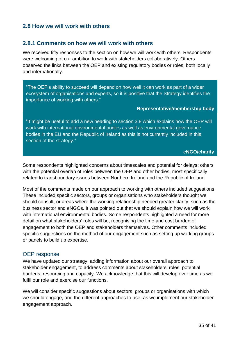## <span id="page-34-0"></span>**2.8 How we will work with others**

## **2.8.1 Comments on how we will work with others**

We received fifty responses to the section on how we will work with others. Respondents were welcoming of our ambition to work with stakeholders collaboratively. Others observed the links between the OEP and existing regulatory bodies or roles, both locally and internationally.

"The OEP's ability to succeed will depend on how well it can work as part of a wider ecosystem of organisations and experts, so it is positive that the Strategy identifies the importance of working with others."

#### **Representative/membership body**

"It might be useful to add a new heading to section 3.8 which explains how the OEP will work with international environmental bodies as well as environmental governance bodies in the EU and the Republic of Ireland as this is not currently included in this section of the strategy."

#### **eNGO/charity**

Some respondents highlighted concerns about timescales and potential for delays; others with the potential overlap of roles between the OEP and other bodies, most specifically related to transboundary issues between Northern Ireland and the Republic of Ireland.

Most of the comments made on our approach to working with others included suggestions. These included specific sectors, groups or organisations who stakeholders thought we should consult, or areas where the working relationship needed greater clarity, such as the business sector and eNGOs. It was pointed out that we should explain how we will work with international environmental bodies. Some respondents highlighted a need for more detail on what stakeholders' roles will be, recognising the time and cost burden of engagement to both the OEP and stakeholders themselves. Other comments included specific suggestions on the method of our engagement such as setting up working groups or panels to build up expertise.

#### OEP response

We have updated our strategy, adding information about our overall approach to stakeholder engagement, to address comments about stakeholders' roles, potential burdens, resourcing and capacity. We acknowledge that this will develop over time as we fulfil our role and exercise our functions.

We will consider specific suggestions about sectors, groups or organisations with which we should engage, and the different approaches to use, as we implement our stakeholder engagement approach.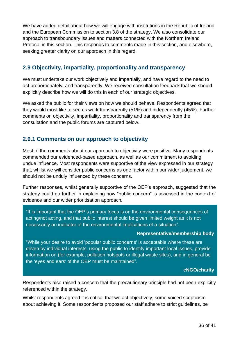We have added detail about how we will engage with institutions in the Republic of Ireland and the European Commission to section 3.8 of the strategy. We also consolidate our approach to transboundary issues and matters connected with the Northern Ireland Protocol in this section. This responds to comments made in this section, and elsewhere, seeking greater clarity on our approach in this regard.

## <span id="page-35-0"></span>**2.9 Objectivity, impartiality, proportionality and transparency**

We must undertake our work objectively and impartially, and have regard to the need to act proportionately, and transparently. We received consultation feedback that we should explicitly describe how we will do this in each of our strategic objectives.

We asked the public for their views on how we should behave. Respondents agreed that they would most like to see us work transparently (51%) and independently (45%). Further comments on objectivity, impartiality, proportionality and transparency from the consultation and the public forums are captured below.

## **2.9.1 Comments on our approach to objectivity**

Most of the comments about our approach to objectivity were positive. Many respondents commended our evidenced-based approach, as well as our commitment to avoiding undue influence. Most respondents were supportive of the view expressed in our strategy that, whilst we will consider public concerns as one factor within our wider judgement, we should not be unduly influenced by these concerns.

Further responses, whilst generally supportive of the OEP's approach, suggested that the strategy could go further in explaining how "public concern" is assessed in the context of evidence and our wider prioritisation approach*.*

"It is important that the OEP's primary focus is on the environmental consequences of acting/not acting, and that public interest should be given limited weight as it is not necessarily an indicator of the environmental implications of a situation".

#### **Representative/membership body**

"While your desire to avoid 'popular public concerns' is acceptable where these are driven by individual interests, using the public to identify important local issues, provide information on (for example, pollution hotspots or illegal waste sites), and in general be the 'eyes and ears' of the OEP must be maintained".

#### **eNGO/charity**

Respondents also raised a concern that the precautionary principle had not been explicitly referenced within the strategy.

Whilst respondents agreed it is critical that we act objectively, some voiced scepticism about achieving it. Some respondents proposed our staff adhere to strict guidelines, be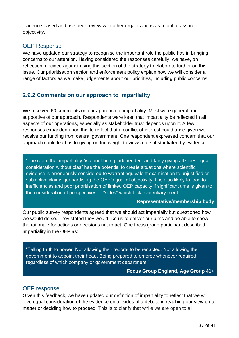evidence-based and use peer review with other organisations as a tool to assure objectivity.

## OEP Response

We have updated our strategy to recognise the important role the public has in bringing concerns to our attention. Having considered the responses carefully, we have, on reflection, decided against using this section of the strategy to elaborate further on this issue. Our prioritisation section and enforcement policy explain how we will consider a range of factors as we make judgements about our priorities, including public concerns.

## **2.9.2 Comments on our approach to impartiality**

We received 60 comments on our approach to impartiality. Most were general and supportive of our approach. Respondents were keen that impartiality be reflected in all aspects of our operations, especially as stakeholder trust depends upon it. A few responses expanded upon this to reflect that a conflict of interest could arise given we receive our funding from central government. One respondent expressed concern that our approach could lead us to giving undue weight to views not substantiated by evidence.

"The claim that impartiality "is about being independent and fairly giving all sides equal consideration without bias" has the potential to create situations where scientific evidence is erroneously considered to warrant equivalent examination to unjustified or subjective claims, jeopardising the OEP's goal of objectivity. It is also likely to lead to inefficiencies and poor prioritisation of limited OEP capacity if significant time is given to the consideration of perspectives or "sides" which lack evidentiary merit.

#### **Representative/membership body**

Our public survey respondents agreed that we should act impartially but questioned how we would do so. They stated they would like us to deliver our aims and be able to show the rationale for actions or decisions not to act. One focus group participant described impartiality in the OEP as:

"Telling truth to power. Not allowing their reports to be redacted. Not allowing the government to appoint their head. Being prepared to enforce whenever required regardless of which company or government department."

**Focus Group England, Age Group 41+**

#### OEP response

Given this feedback, we have updated our definition of impartiality to reflect that we will give equal consideration of the evidence on all sides of a debate in reaching our view on a matter or deciding how to proceed. This is to clarify that while we are open to all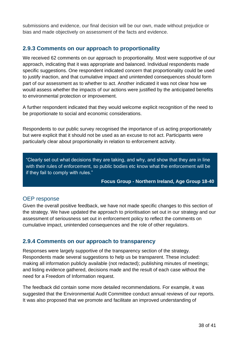submissions and evidence, our final decision will be our own, made without prejudice or bias and made objectively on assessment of the facts and evidence.

## **2.9.3 Comments on our approach to proportionality**

We received 62 comments on our approach to proportionality. Most were supportive of our approach, indicating that it was appropriate and balanced. Individual respondents made specific suggestions. One respondent indicated concern that proportionality could be used to justify inaction, and that cumulative impact and unintended consequences should form part of our assessment as to whether to act. Another indicated it was not clear how we would assess whether the impacts of our actions were justified by the anticipated benefits to environmental protection or improvement.

A further respondent indicated that they would welcome explicit recognition of the need to be proportionate to social and economic considerations.

Respondents to our public survey recognised the importance of us acting proportionately but were explicit that it should not be used as an excuse to not act. Participants were particularly clear about proportionality in relation to enforcement activity.

"Clearly set out what decisions they are taking, and why, and show that they are in line with their rules of enforcement, so public bodies etc know what the enforcement will be if they fail to comply with rules."

**Focus Group - Northern Ireland, Age Group 18-40**

## OEP response

Given the overall positive feedback, we have not made specific changes to this section of the strategy. We have updated the approach to prioritisation set out in our strategy and our assessment of seriousness set out in enforcement policy to reflect the comments on cumulative impact, unintended consequences and the role of other regulators.

## **2.9.4 Comments on our approach to transparency**

Responses were largely supportive of the transparency section of the strategy. Respondents made several suggestions to help us be transparent. These included: making all information publicly available (not redacted); publishing minutes of meetings; and listing evidence gathered, decisions made and the result of each case without the need for a Freedom of Information request.

The feedback did contain some more detailed recommendations. For example, it was suggested that the Environmental Audit Committee conduct annual reviews of our reports. It was also proposed that we promote and facilitate an improved understanding of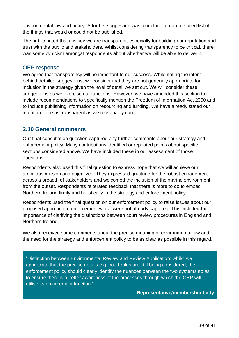environmental law and policy. A further suggestion was to include a more detailed list of the things that would or could not be published.

The public noted that it is key we are transparent, especially for building our reputation and trust with the public and stakeholders. Whilst considering transparency to be critical, there was some cynicism amongst respondents about whether we will be able to deliver it.

#### OEP response

We agree that transparency will be important to our success. While noting the intent behind detailed suggestions, we consider that they are not generally appropriate for inclusion in the strategy given the level of detail we set out. We will consider these suggestions as we exercise our functions. However, we have amended this section to include recommendations to specifically mention the Freedom of Information Act 2000 and to include publishing information on resourcing and funding. We have already stated our intention to be as transparent as we reasonably can.

## <span id="page-38-0"></span>**2.10 General comments**

Our final consultation question captured any further comments about our strategy and enforcement policy. Many contributions identified or repeated points about specific sections considered above. We have included these in our assessment of those questions.

Respondents also used this final question to express hope that we will achieve our ambitious mission and objectives. They expressed gratitude for the robust engagement across a breadth of stakeholders and welcomed the inclusion of the marine environment from the outset. Respondents reiterated feedback that there is more to do to embed Northern Ireland firmly and holistically in the strategy and enforcement policy.

Respondents used the final question on our enforcement policy to raise issues about our proposed approach to enforcement which were not already captured. This included the importance of clarifying the distinctions between court review procedures in England and Northern Ireland.

We also received some comments about the precise meaning of environmental law and the need for the strategy and enforcement policy to be as clear as possible in this regard.

"Distinction between Environmental Review and Review Application: whilst we appreciate that the precise details e.g. court rules are still being considered, the enforcement policy should clearly identify the nuances between the two systems so as to ensure there is a better awareness of the processes through which the OEP will utilise its enforcement function."

**Representative/membership body**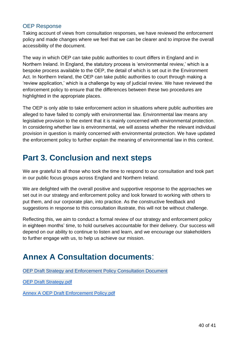## OEP Response

Taking account of views from consultation responses, we have reviewed the enforcement policy and made changes where we feel that we can be clearer and to improve the overall accessibility of the document.

The way in which OEP can take public authorities to court differs in England and in Northern Ireland. In England, the statutory process is 'environmental review,' which is a bespoke process available to the OEP, the detail of which is set out in the Environment Act. In Northern Ireland, the OEP can take public authorities to court through making a 'review application,' which is a challenge by way of judicial review. We have reviewed the enforcement policy to ensure that the differences between these two procedures are highlighted in the appropriate places.

The OEP is only able to take enforcement action in situations where public authorities are alleged to have failed to comply with environmental law. Environmental law means any legislative provision to the extent that it is mainly concerned with environmental protection. In considering whether law is environmental, we will assess whether the relevant individual provision in question is mainly concerned with environmental protection. We have updated the enforcement policy to further explain the meaning of environmental law in this context.

## <span id="page-39-0"></span>**Part 3. Conclusion and next steps**

We are grateful to all those who took the time to respond to our consultation and took part in our public focus groups across England and Northern Ireland.

We are delighted with the overall positive and supportive response to the approaches we set out in our strategy and enforcement policy and look forward to working with others to put them, and our corporate plan, into practice. As the constructive feedback and suggestions in response to this consultation illustrate, this will not be without challenge.

Reflecting this, we aim to conduct a formal review of our strategy and enforcement policy in eighteen months' time, to hold ourselves accountable for their delivery. Our success will depend on our ability to continue to listen and learn, and we encourage our stakeholders to further engage with us, to help us achieve our mission.

## <span id="page-39-1"></span>**Annex A Consultation documents**:

[OEP Draft Strategy and Enforcement Policy Consultation Document](https://consult.theoep.org.uk/oep/the-oep-strategy-and-enforcement-policy/supporting_documents/OEP%20Draft%20Strategy%20and%20Enforcement%20Policy%20Consultation%20Document.docx)

[OEP Draft Strategy.pdf](https://consult.theoep.org.uk/oep/the-oep-strategy-and-enforcement-policy/supporting_documents/OEP%20Draft%20Strategy.pdf)

[Annex A OEP Draft Enforcement Policy.pdf](https://consult.theoep.org.uk/oep/the-oep-strategy-and-enforcement-policy/supporting_documents/Annex%20A%20OEP%20Draft%20Enforcement%20Policy.pdf)